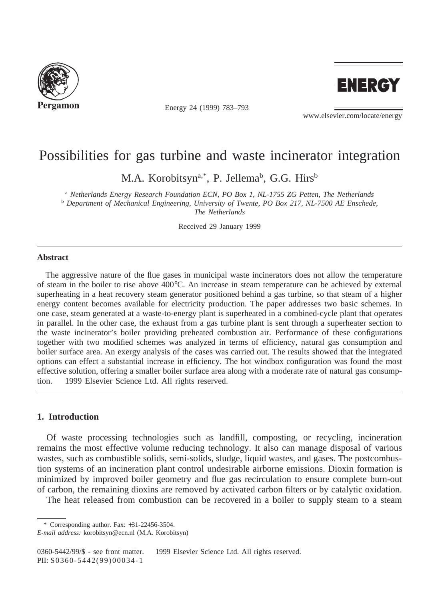

Energy 24 (1999) 783–793



www.elsevier.com/locate/energy

# Possibilities for gas turbine and waste incinerator integration

M.A. Korobitsyn<sup>a,\*</sup>, P. Jellema<sup>b</sup>, G.G. Hirs<sup>b</sup>

<sup>a</sup> *Netherlands Energy Research Foundation ECN, PO Box 1, NL-1755 ZG Petten, The Netherlands* <sup>b</sup> *Department of Mechanical Engineering, University of Twente, PO Box 217, NL-7500 AE Enschede, The Netherlands*

Received 29 January 1999

# **Abstract**

The aggressive nature of the flue gases in municipal waste incinerators does not allow the temperature of steam in the boiler to rise above 400°C. An increase in steam temperature can be achieved by external superheating in a heat recovery steam generator positioned behind a gas turbine, so that steam of a higher energy content becomes available for electricity production. The paper addresses two basic schemes. In one case, steam generated at a waste-to-energy plant is superheated in a combined-cycle plant that operates in parallel. In the other case, the exhaust from a gas turbine plant is sent through a superheater section to the waste incinerator's boiler providing preheated combustion air. Performance of these configurations together with two modified schemes was analyzed in terms of efficiency, natural gas consumption and boiler surface area. An exergy analysis of the cases was carried out. The results showed that the integrated options can effect a substantial increase in efficiency. The hot windbox configuration was found the most effective solution, offering a smaller boiler surface area along with a moderate rate of natural gas consumption. © 1999 Elsevier Science Ltd. All rights reserved.

# **1. Introduction**

Of waste processing technologies such as landfill, composting, or recycling, incineration remains the most effective volume reducing technology. It also can manage disposal of various wastes, such as combustible solids, semi-solids, sludge, liquid wastes, and gases. The postcombustion systems of an incineration plant control undesirable airborne emissions. Dioxin formation is minimized by improved boiler geometry and flue gas recirculation to ensure complete burn-out of carbon, the remaining dioxins are removed by activated carbon filters or by catalytic oxidation.

The heat released from combustion can be recovered in a boiler to supply steam to a steam

\* Corresponding author. Fax: +31-22456-3504.

0360-5442/99/\$ - see front matter. © 1999 Elsevier Science Ltd. All rights reserved. PII: S0 360-5442(99)00034-1

*E-mail address:* korobitsyn@ecn.nl (M.A. Korobitsyn)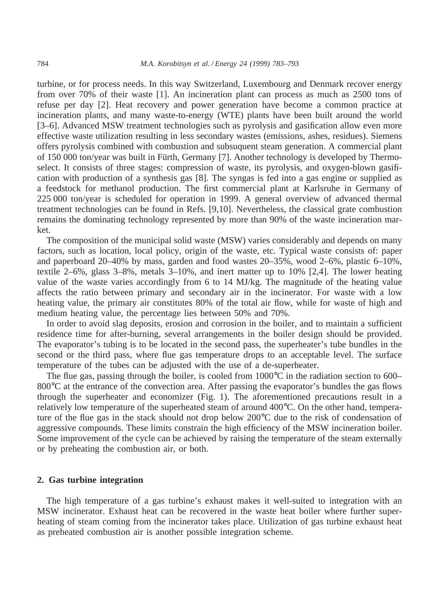turbine, or for process needs. In this way Switzerland, Luxembourg and Denmark recover energy from over 70% of their waste [1]. An incineration plant can process as much as 2500 tons of refuse per day [2]. Heat recovery and power generation have become a common practice at incineration plants, and many waste-to-energy (WTE) plants have been built around the world [3–6]. Advanced MSW treatment technologies such as pyrolysis and gasification allow even more effective waste utilization resulting in less secondary wastes (emissions, ashes, residues). Siemens offers pyrolysis combined with combustion and subsuquent steam generation. A commercial plant of 150 000 ton/year was built in Fürth, Germany [7]. Another technology is developed by Thermoselect. It consists of three stages: compression of waste, its pyrolysis, and oxygen-blown gasification with production of a synthesis gas [8]. The syngas is fed into a gas engine or supplied as a feedstock for methanol production. The first commercial plant at Karlsruhe in Germany of 225 000 ton/year is scheduled for operation in 1999. A general overview of advanced thermal treatment technologies can be found in Refs. [9,10]. Nevertheless, the classical grate combustion remains the dominating technology represented by more than 90% of the waste incineration market.

The composition of the municipal solid waste (MSW) varies considerably and depends on many factors, such as location, local policy, origin of the waste, etc. Typical waste consists of: paper and paperboard 20–40% by mass, garden and food wastes 20–35%, wood 2–6%, plastic 6–10%, textile 2–6%, glass 3–8%, metals 3–10%, and inert matter up to 10% [2,4]. The lower heating value of the waste varies accordingly from 6 to 14 MJ/kg. The magnitude of the heating value affects the ratio between primary and secondary air in the incinerator. For waste with a low heating value, the primary air constitutes 80% of the total air flow, while for waste of high and medium heating value, the percentage lies between 50% and 70%.

In order to avoid slag deposits, erosion and corrosion in the boiler, and to maintain a sufficient residence time for after-burning, several arrangements in the boiler design should be provided. The evaporator's tubing is to be located in the second pass, the superheater's tube bundles in the second or the third pass, where flue gas temperature drops to an acceptable level. The surface temperature of the tubes can be adjusted with the use of a de-superheater.

The flue gas, passing through the boiler, is cooled from  $1000^{\circ}$ C in the radiation section to 600– 800 °C at the entrance of the convection area. After passing the evaporator's bundles the gas flows through the superheater and economizer (Fig. 1). The aforementioned precautions result in a relatively low temperature of the superheated steam of around 400°C. On the other hand, temperature of the flue gas in the stack should not drop below 200°C due to the risk of condensation of aggressive compounds. These limits constrain the high efficiency of the MSW incineration boiler. Some improvement of the cycle can be achieved by raising the temperature of the steam externally or by preheating the combustion air, or both.

#### **2. Gas turbine integration**

The high temperature of a gas turbine's exhaust makes it well-suited to integration with an MSW incinerator. Exhaust heat can be recovered in the waste heat boiler where further superheating of steam coming from the incinerator takes place. Utilization of gas turbine exhaust heat as preheated combustion air is another possible integration scheme.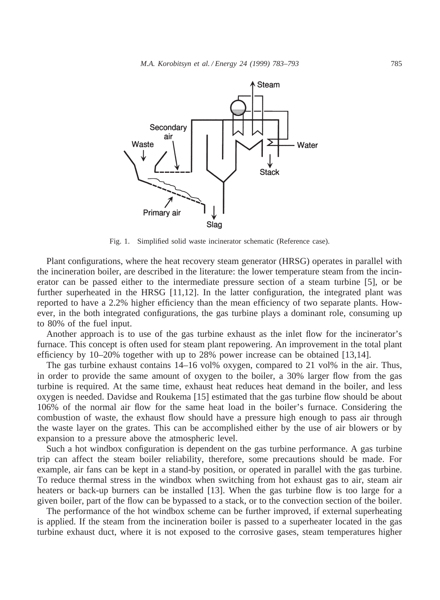

Fig. 1. Simplified solid waste incinerator schematic (Reference case).

Plant configurations, where the heat recovery steam generator (HRSG) operates in parallel with the incineration boiler, are described in the literature: the lower temperature steam from the incinerator can be passed either to the intermediate pressure section of a steam turbine [5], or be further superheated in the HRSG [11,12]. In the latter configuration, the integrated plant was reported to have a 2.2% higher efficiency than the mean efficiency of two separate plants. However, in the both integrated configurations, the gas turbine plays a dominant role, consuming up to 80% of the fuel input.

Another approach is to use of the gas turbine exhaust as the inlet flow for the incinerator's furnace. This concept is often used for steam plant repowering. An improvement in the total plant efficiency by 10–20% together with up to 28% power increase can be obtained [13,14].

The gas turbine exhaust contains 14–16 vol% oxygen, compared to 21 vol% in the air. Thus, in order to provide the same amount of oxygen to the boiler, a 30% larger flow from the gas turbine is required. At the same time, exhaust heat reduces heat demand in the boiler, and less oxygen is needed. Davidse and Roukema [15] estimated that the gas turbine flow should be about 106% of the normal air flow for the same heat load in the boiler's furnace. Considering the combustion of waste, the exhaust flow should have a pressure high enough to pass air through the waste layer on the grates. This can be accomplished either by the use of air blowers or by expansion to a pressure above the atmospheric level.

Such a hot windbox configuration is dependent on the gas turbine performance. A gas turbine trip can affect the steam boiler reliability, therefore, some precautions should be made. For example, air fans can be kept in a stand-by position, or operated in parallel with the gas turbine. To reduce thermal stress in the windbox when switching from hot exhaust gas to air, steam air heaters or back-up burners can be installed [13]. When the gas turbine flow is too large for a given boiler, part of the flow can be bypassed to a stack, or to the convection section of the boiler.

The performance of the hot windbox scheme can be further improved, if external superheating is applied. If the steam from the incineration boiler is passed to a superheater located in the gas turbine exhaust duct, where it is not exposed to the corrosive gases, steam temperatures higher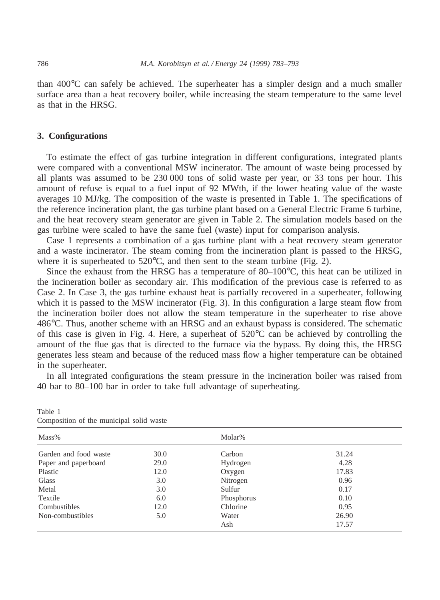than 400°C can safely be achieved. The superheater has a simpler design and a much smaller surface area than a heat recovery boiler, while increasing the steam temperature to the same level as that in the HRSG.

### **3. Configurations**

To estimate the effect of gas turbine integration in different configurations, integrated plants were compared with a conventional MSW incinerator. The amount of waste being processed by all plants was assumed to be 230 000 tons of solid waste per year, or 33 tons per hour. This amount of refuse is equal to a fuel input of 92 MWth, if the lower heating value of the waste averages 10 MJ/kg. The composition of the waste is presented in Table 1. The specifications of the reference incineration plant, the gas turbine plant based on a General Electric Frame 6 turbine, and the heat recovery steam generator are given in Table 2. The simulation models based on the gas turbine were scaled to have the same fuel (waste) input for comparison analysis.

Case 1 represents a combination of a gas turbine plant with a heat recovery steam generator and a waste incinerator. The steam coming from the incineration plant is passed to the HRSG, where it is superheated to 520°C, and then sent to the steam turbine (Fig. 2).

Since the exhaust from the HRSG has a temperature of 80–100°C, this heat can be utilized in the incineration boiler as secondary air. This modification of the previous case is referred to as Case 2. In Case 3, the gas turbine exhaust heat is partially recovered in a superheater, following which it is passed to the MSW incinerator (Fig. 3). In this configuration a large steam flow from the incineration boiler does not allow the steam temperature in the superheater to rise above 486°C. Thus, another scheme with an HRSG and an exhaust bypass is considered. The schematic of this case is given in Fig. 4. Here, a superheat of  $520^{\circ}$ C can be achieved by controlling the amount of the flue gas that is directed to the furnace via the bypass. By doing this, the HRSG generates less steam and because of the reduced mass flow a higher temperature can be obtained in the superheater.

In all integrated configurations the steam pressure in the incineration boiler was raised from 40 bar to 80–100 bar in order to take full advantage of superheating.

| composition of the mumelput some waste |      |            |       |  |  |
|----------------------------------------|------|------------|-------|--|--|
| Mass%                                  |      | Molar%     |       |  |  |
| Garden and food waste                  | 30.0 | Carbon     | 31.24 |  |  |
| Paper and paperboard                   | 29.0 | Hydrogen   | 4.28  |  |  |
| Plastic                                | 12.0 | Oxygen     | 17.83 |  |  |
| <b>Glass</b>                           | 3.0  | Nitrogen   | 0.96  |  |  |
| Metal                                  | 3.0  | Sulfur     | 0.17  |  |  |
| Textile                                | 6.0  | Phosphorus | 0.10  |  |  |
| Combustibles                           | 12.0 | Chlorine   | 0.95  |  |  |
| Non-combustibles                       | 5.0  | Water      | 26.90 |  |  |
|                                        |      | Ash        | 17.57 |  |  |

Table 1 Composition of the municipal solid waste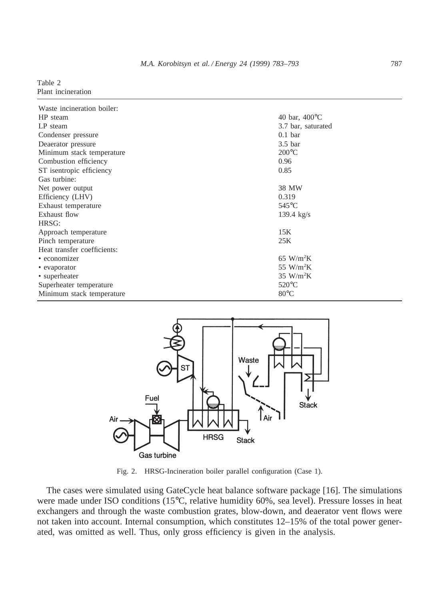#### Table 2 Plant incineration

| Waste incineration boiler:  |                            |
|-----------------------------|----------------------------|
| HP steam                    | 40 bar, $400^{\circ}$ C    |
| LP steam                    | 3.7 bar, saturated         |
| Condenser pressure          | $0.1$ bar                  |
| Deaerator pressure          | 3.5 <sub>bar</sub>         |
| Minimum stack temperature   | $200^{\circ}$ C            |
| Combustion efficiency       | 0.96                       |
| ST isentropic efficiency    | 0.85                       |
| Gas turbine:                |                            |
| Net power output            | 38 MW                      |
| Efficiency (LHV)            | 0.319                      |
| Exhaust temperature         | $545^{\circ}$ C            |
| Exhaust flow                | 139.4 $kg/s$               |
| HRSG:                       |                            |
| Approach temperature        | 15K                        |
| Pinch temperature           | 25K                        |
| Heat transfer coefficients: |                            |
| • economizer                | $65 \text{ W/m}^2\text{K}$ |
| • evaporator                | 55 W/m <sup>2</sup> K      |
| • superheater               | $35$ W/m <sup>2</sup> K    |
| Superheater temperature     | $520^{\circ}$ C            |
| Minimum stack temperature   | $80^{\circ}$ C             |



Fig. 2. HRSG-Incineration boiler parallel configuration (Case 1).

The cases were simulated using GateCycle heat balance software package [16]. The simulations were made under ISO conditions (15°C, relative humidity 60%, sea level). Pressure losses in heat exchangers and through the waste combustion grates, blow-down, and deaerator vent flows were not taken into account. Internal consumption, which constitutes 12–15% of the total power generated, was omitted as well. Thus, only gross efficiency is given in the analysis.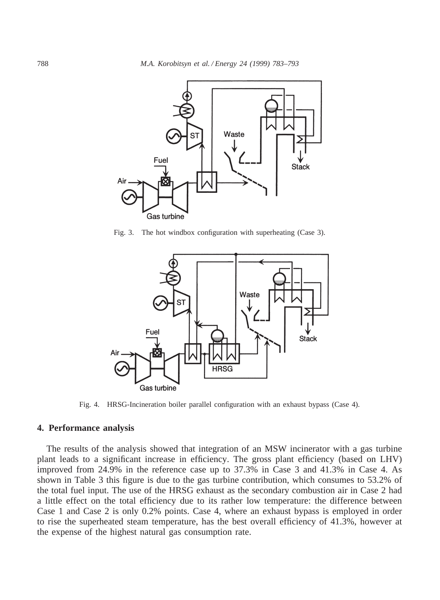

Fig. 3. The hot windbox configuration with superheating (Case 3).



Fig. 4. HRSG-Incineration boiler parallel configuration with an exhaust bypass (Case 4).

# **4. Performance analysis**

The results of the analysis showed that integration of an MSW incinerator with a gas turbine plant leads to a significant increase in efficiency. The gross plant efficiency (based on LHV) improved from 24.9% in the reference case up to 37.3% in Case 3 and 41.3% in Case 4. As shown in Table 3 this figure is due to the gas turbine contribution, which consumes to 53.2% of the total fuel input. The use of the HRSG exhaust as the secondary combustion air in Case 2 had a little effect on the total efficiency due to its rather low temperature: the difference between Case 1 and Case 2 is only 0.2% points. Case 4, where an exhaust bypass is employed in order to rise the superheated steam temperature, has the best overall efficiency of 41.3%, however at the expense of the highest natural gas consumption rate.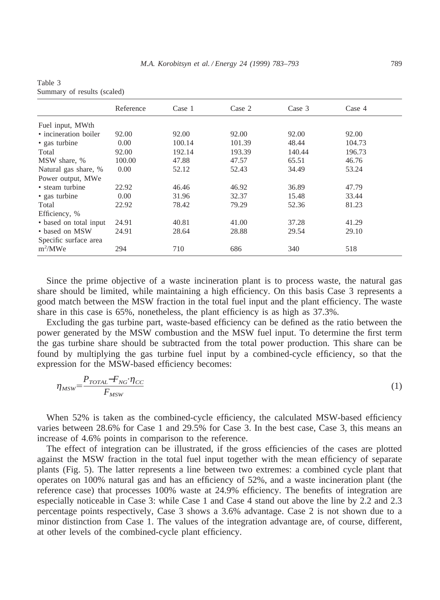|                        | Reference | Case 1 | Case 2 | Case $3$ | Case 4 |  |
|------------------------|-----------|--------|--------|----------|--------|--|
| Fuel input, MWth       |           |        |        |          |        |  |
| • incineration boiler  | 92.00     | 92.00  | 92.00  | 92.00    | 92.00  |  |
| • gas turbine          | 0.00      | 100.14 | 101.39 | 48.44    | 104.73 |  |
| Total                  | 92.00     | 192.14 | 193.39 | 140.44   | 196.73 |  |
| MSW share, %           | 100.00    | 47.88  | 47.57  | 65.51    | 46.76  |  |
| Natural gas share, %   | 0.00      | 52.12  | 52.43  | 34.49    | 53.24  |  |
| Power output, MWe      |           |        |        |          |        |  |
| • steam turbine        | 22.92     | 46.46  | 46.92  | 36.89    | 47.79  |  |
| • gas turbine          | 0.00      | 31.96  | 32.37  | 15.48    | 33.44  |  |
| Total                  | 22.92     | 78.42  | 79.29  | 52.36    | 81.23  |  |
| Efficiency, %          |           |        |        |          |        |  |
| • based on total input | 24.91     | 40.81  | 41.00  | 37.28    | 41.29  |  |
| • based on MSW         | 24.91     | 28.64  | 28.88  | 29.54    | 29.10  |  |
| Specific surface area  |           |        |        |          |        |  |
| $m^2/MWe$              | 294       | 710    | 686    | 340      | 518    |  |

| Table 3                     |  |
|-----------------------------|--|
| Summary of results (scaled) |  |

Since the prime objective of a waste incineration plant is to process waste, the natural gas share should be limited, while maintaining a high efficiency. On this basis Case 3 represents a good match between the MSW fraction in the total fuel input and the plant efficiency. The waste share in this case is 65%, nonetheless, the plant efficiency is as high as 37.3%.

Excluding the gas turbine part, waste-based efficiency can be defined as the ratio between the power generated by the MSW combustion and the MSW fuel input. To determine the first term the gas turbine share should be subtracted from the total power production. This share can be found by multiplying the gas turbine fuel input by a combined-cycle efficiency, so that the expression for the MSW-based efficiency becomes:

$$
\eta_{MSW} = \frac{P_{TOTAL} - F_{NG} \cdot \eta_{CC}}{F_{MSW}} \tag{1}
$$

When 52% is taken as the combined-cycle efficiency, the calculated MSW-based efficiency varies between 28.6% for Case 1 and 29.5% for Case 3. In the best case, Case 3, this means an increase of 4.6% points in comparison to the reference.

The effect of integration can be illustrated, if the gross efficiencies of the cases are plotted against the MSW fraction in the total fuel input together with the mean efficiency of separate plants (Fig. 5). The latter represents a line between two extremes: a combined cycle plant that operates on 100% natural gas and has an efficiency of 52%, and a waste incineration plant (the reference case) that processes 100% waste at 24.9% efficiency. The benefits of integration are especially noticeable in Case 3: while Case 1 and Case 4 stand out above the line by 2.2 and 2.3 percentage points respectively, Case 3 shows a 3.6% advantage. Case 2 is not shown due to a minor distinction from Case 1. The values of the integration advantage are, of course, different, at other levels of the combined-cycle plant efficiency.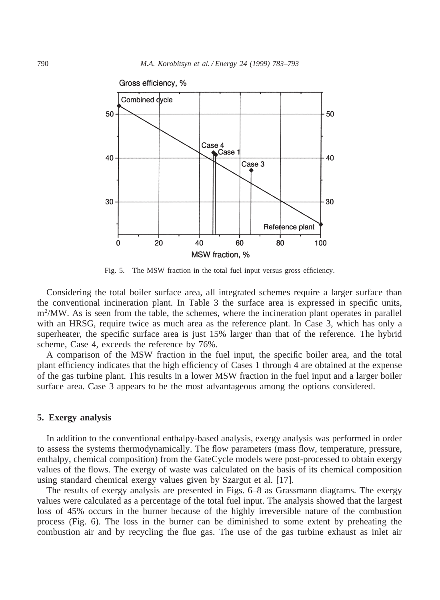

Fig. 5. The MSW fraction in the total fuel input versus gross efficiency.

Considering the total boiler surface area, all integrated schemes require a larger surface than the conventional incineration plant. In Table 3 the surface area is expressed in specific units, m<sup>2</sup>/MW. As is seen from the table, the schemes, where the incineration plant operates in parallel with an HRSG, require twice as much area as the reference plant. In Case 3, which has only a superheater, the specific surface area is just 15% larger than that of the reference. The hybrid scheme, Case 4, exceeds the reference by 76%.

A comparison of the MSW fraction in the fuel input, the specific boiler area, and the total plant efficiency indicates that the high efficiency of Cases 1 through 4 are obtained at the expense of the gas turbine plant. This results in a lower MSW fraction in the fuel input and a larger boiler surface area. Case 3 appears to be the most advantageous among the options considered.

#### **5. Exergy analysis**

In addition to the conventional enthalpy-based analysis, exergy analysis was performed in order to assess the systems thermodynamically. The flow parameters (mass flow, temperature, pressure, enthalpy, chemical composition) from the GateCycle models were post-processed to obtain exergy values of the flows. The exergy of waste was calculated on the basis of its chemical composition using standard chemical exergy values given by Szargut et al. [17].

The results of exergy analysis are presented in Figs. 6–8 as Grassmann diagrams. The exergy values were calculated as a percentage of the total fuel input. The analysis showed that the largest loss of 45% occurs in the burner because of the highly irreversible nature of the combustion process (Fig. 6). The loss in the burner can be diminished to some extent by preheating the combustion air and by recycling the flue gas. The use of the gas turbine exhaust as inlet air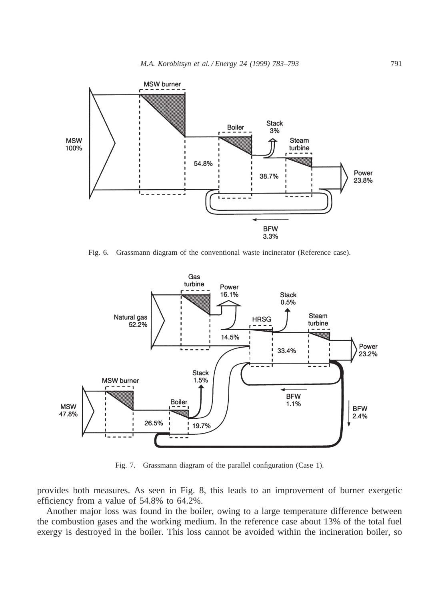

Fig. 6. Grassmann diagram of the conventional waste incinerator (Reference case).



Fig. 7. Grassmann diagram of the parallel configuration (Case 1).

provides both measures. As seen in Fig. 8, this leads to an improvement of burner exergetic efficiency from a value of 54.8% to 64.2%.

Another major loss was found in the boiler, owing to a large temperature difference between the combustion gases and the working medium. In the reference case about 13% of the total fuel exergy is destroyed in the boiler. This loss cannot be avoided within the incineration boiler, so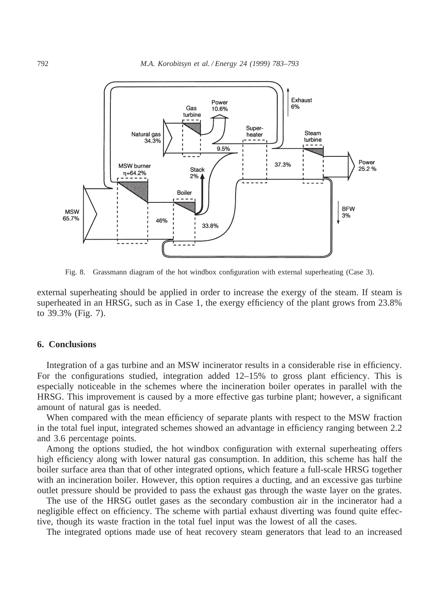

Fig. 8. Grassmann diagram of the hot windbox configuration with external superheating (Case 3).

external superheating should be applied in order to increase the exergy of the steam. If steam is superheated in an HRSG, such as in Case 1, the exergy efficiency of the plant grows from 23.8% to 39.3% (Fig. 7).

# **6. Conclusions**

Integration of a gas turbine and an MSW incinerator results in a considerable rise in efficiency. For the configurations studied, integration added 12–15% to gross plant efficiency. This is especially noticeable in the schemes where the incineration boiler operates in parallel with the HRSG. This improvement is caused by a more effective gas turbine plant; however, a significant amount of natural gas is needed.

When compared with the mean efficiency of separate plants with respect to the MSW fraction in the total fuel input, integrated schemes showed an advantage in efficiency ranging between 2.2 and 3.6 percentage points.

Among the options studied, the hot windbox configuration with external superheating offers high efficiency along with lower natural gas consumption. In addition, this scheme has half the boiler surface area than that of other integrated options, which feature a full-scale HRSG together with an incineration boiler. However, this option requires a ducting, and an excessive gas turbine outlet pressure should be provided to pass the exhaust gas through the waste layer on the grates.

The use of the HRSG outlet gases as the secondary combustion air in the incinerator had a negligible effect on efficiency. The scheme with partial exhaust diverting was found quite effective, though its waste fraction in the total fuel input was the lowest of all the cases.

The integrated options made use of heat recovery steam generators that lead to an increased